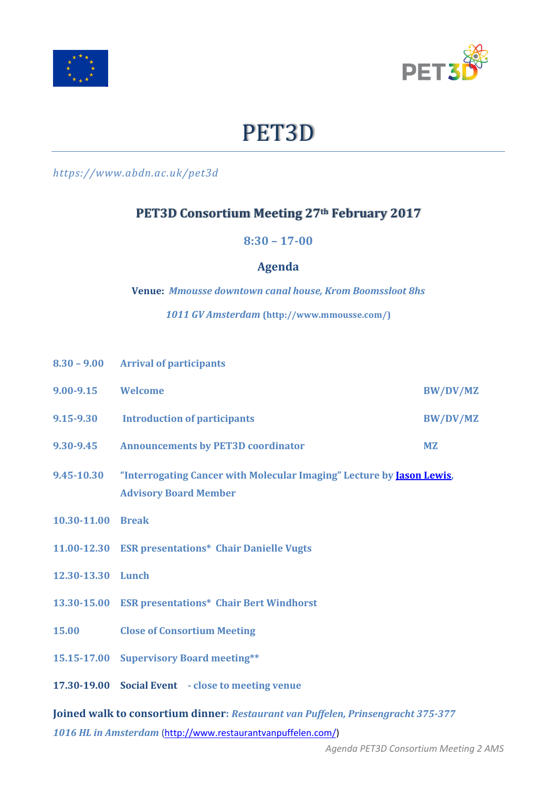



# PET3D

*https://www.abdn.ac.uk/pet3d*

## **PET3D Consortium Meeting 27th February 2017**

**8:30 – 17-00**

#### **Agenda**

**Venue:** *Mmousse downtown canal house, Krom Boomssloot 8hs*

*1011 GV Amsterdam* **(http://www.mmousse.com/)**

|                                                                                  | 8.30 - 9.00 Arrival of participants                                                                           |                 |  |  |  |
|----------------------------------------------------------------------------------|---------------------------------------------------------------------------------------------------------------|-----------------|--|--|--|
| $9.00 - 9.15$                                                                    | Welcome                                                                                                       | <b>BW/DV/MZ</b> |  |  |  |
| 9.15-9.30                                                                        | <b>Introduction of participants</b>                                                                           | <b>BW/DV/MZ</b> |  |  |  |
| 9.30-9.45                                                                        | <b>Announcements by PET3D coordinator</b>                                                                     | <b>MZ</b>       |  |  |  |
| 9.45-10.30                                                                       | "Interrogating Cancer with Molecular Imaging" Lecture by <b>Jason Lewis</b> ,<br><b>Advisory Board Member</b> |                 |  |  |  |
| 10.30-11.00 Break                                                                |                                                                                                               |                 |  |  |  |
|                                                                                  | 11.00-12.30 ESR presentations* Chair Danielle Vugts                                                           |                 |  |  |  |
| 12.30-13.30 Lunch                                                                |                                                                                                               |                 |  |  |  |
|                                                                                  | 13.30-15.00 ESR presentations* Chair Bert Windhorst                                                           |                 |  |  |  |
| 15.00                                                                            | <b>Close of Consortium Meeting</b>                                                                            |                 |  |  |  |
|                                                                                  | 15.15-17.00 Supervisory Board meeting**                                                                       |                 |  |  |  |
|                                                                                  | 17.30-19.00 Social Event - close to meeting venue                                                             |                 |  |  |  |
| Joined walk to consortium dinner: Restaurant van Puffelen, Prinsengracht 375-377 |                                                                                                               |                 |  |  |  |

*1016 HL in Amsterdam* [\(http://www.restaurantvanpuffelen.com/\)](http://www.restaurantvanpuffelen.com/)